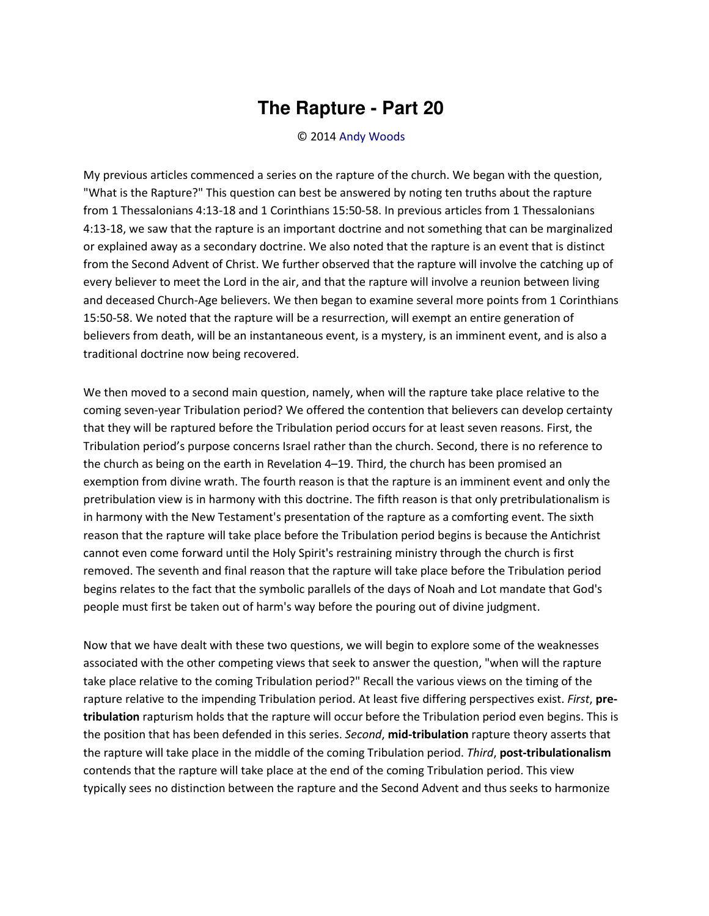## **The Rapture - Part 20**

## © 2014 [Andy Woods](http://www.spiritandtruth.org/id/aw.htm)

My previous articles commenced a series on the rapture of the church. We began with the question, "What is the Rapture?" This question can best be answered by noting ten truths about the rapture from 1 Thessalonians 4:13-18 and 1 Corinthians 15:50-58. In previous articles from 1 Thessalonians 4:13-18, we saw that the rapture is an important doctrine and not something that can be marginalized or explained away as a secondary doctrine. We also noted that the rapture is an event that is distinct from the Second Advent of Christ. We further observed that the rapture will involve the catching up of every believer to meet the Lord in the air, and that the rapture will involve a reunion between living and deceased Church-Age believers. We then began to examine several more points from 1 Corinthians 15:50-58. We noted that the rapture will be a resurrection, will exempt an entire generation of believers from death, will be an instantaneous event, is a mystery, is an imminent event, and is also a traditional doctrine now being recovered.

We then moved to a second main question, namely, when will the rapture take place relative to the coming seven-year Tribulation period? We offered the contention that believers can develop certainty that they will be raptured before the Tribulation period occurs for at least seven reasons. First, the Tribulation period's purpose concerns Israel rather than the church. Second, there is no reference to the church as being on the earth in Revelation 4–19. Third, the church has been promised an exemption from divine wrath. The fourth reason is that the rapture is an imminent event and only the pretribulation view is in harmony with this doctrine. The fifth reason is that only pretribulationalism is in harmony with the New Testament's presentation of the rapture as a comforting event. The sixth reason that the rapture will take place before the Tribulation period begins is because the Antichrist cannot even come forward until the Holy Spirit's restraining ministry through the church is first removed. The seventh and final reason that the rapture will take place before the Tribulation period begins relates to the fact that the symbolic parallels of the days of Noah and Lot mandate that God's people must first be taken out of harm's way before the pouring out of divine judgment.

Now that we have dealt with these two questions, we will begin to explore some of the weaknesses associated with the other competing views that seek to answer the question, "when will the rapture take place relative to the coming Tribulation period?" Recall the various views on the timing of the rapture relative to the impending Tribulation period. At least five differing perspectives exist. *First*, **pretribulation** rapturism holds that the rapture will occur before the Tribulation period even begins. This is the position that has been defended in this series. *Second*, **mid-tribulation** rapture theory asserts that the rapture will take place in the middle of the coming Tribulation period. *Third*, **post-tribulationalism** contends that the rapture will take place at the end of the coming Tribulation period. This view typically sees no distinction between the rapture and the Second Advent and thus seeks to harmonize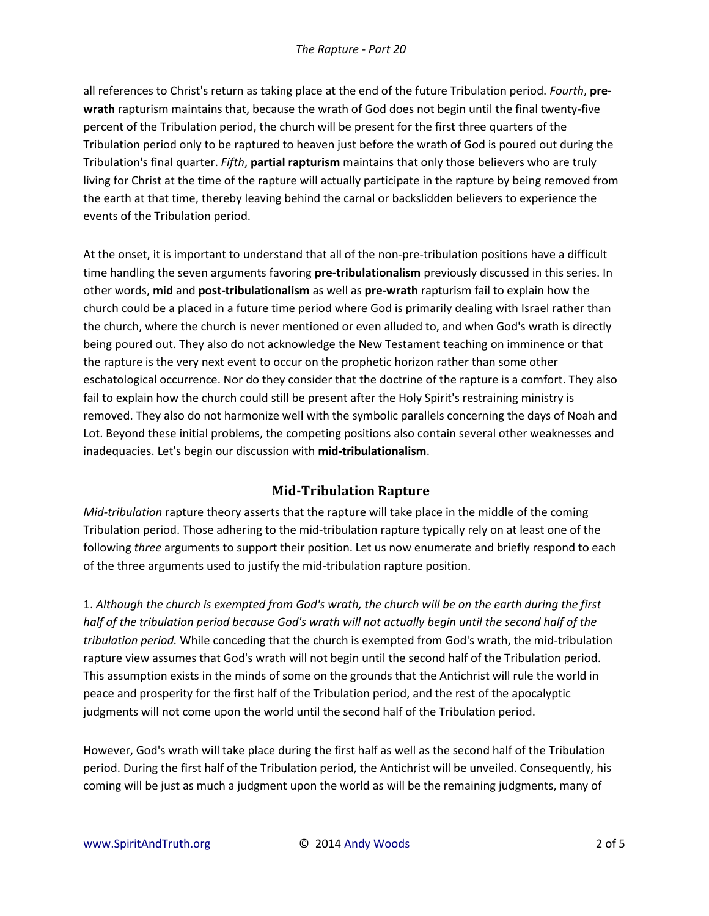all references to Christ's return as taking place at the end of the future Tribulation period. *Fourth*, **prewrath** rapturism maintains that, because the wrath of God does not begin until the final twenty-five percent of the Tribulation period, the church will be present for the first three quarters of the Tribulation period only to be raptured to heaven just before the wrath of God is poured out during the Tribulation's final quarter. *Fifth*, **partial rapturism** maintains that only those believers who are truly living for Christ at the time of the rapture will actually participate in the rapture by being removed from the earth at that time, thereby leaving behind the carnal or backslidden believers to experience the events of the Tribulation period.

At the onset, it is important to understand that all of the non-pre-tribulation positions have a difficult time handling the seven arguments favoring **pre-tribulationalism** previously discussed in this series. In other words, **mid** and **post-tribulationalism** as well as **pre-wrath** rapturism fail to explain how the church could be a placed in a future time period where God is primarily dealing with Israel rather than the church, where the church is never mentioned or even alluded to, and when God's wrath is directly being poured out. They also do not acknowledge the New Testament teaching on imminence or that the rapture is the very next event to occur on the prophetic horizon rather than some other eschatological occurrence. Nor do they consider that the doctrine of the rapture is a comfort. They also fail to explain how the church could still be present after the Holy Spirit's restraining ministry is removed. They also do not harmonize well with the symbolic parallels concerning the days of Noah and Lot. Beyond these initial problems, the competing positions also contain several other weaknesses and inadequacies. Let's begin our discussion with **mid-tribulationalism**.

## **Mid-Tribulation Rapture**

*Mid-tribulation* rapture theory asserts that the rapture will take place in the middle of the coming Tribulation period. Those adhering to the mid-tribulation rapture typically rely on at least one of the following *three* arguments to support their position. Let us now enumerate and briefly respond to each of the three arguments used to justify the mid-tribulation rapture position.

1. *Although the church is exempted from God's wrath, the church will be on the earth during the first*  half of the tribulation period because God's wrath will not actually begin until the second half of the *tribulation period.* While conceding that the church is exempted from God's wrath, the mid-tribulation rapture view assumes that God's wrath will not begin until the second half of the Tribulation period. This assumption exists in the minds of some on the grounds that the Antichrist will rule the world in peace and prosperity for the first half of the Tribulation period, and the rest of the apocalyptic judgments will not come upon the world until the second half of the Tribulation period.

However, God's wrath will take place during the first half as well as the second half of the Tribulation period. During the first half of the Tribulation period, the Antichrist will be unveiled. Consequently, his coming will be just as much a judgment upon the world as will be the remaining judgments, many of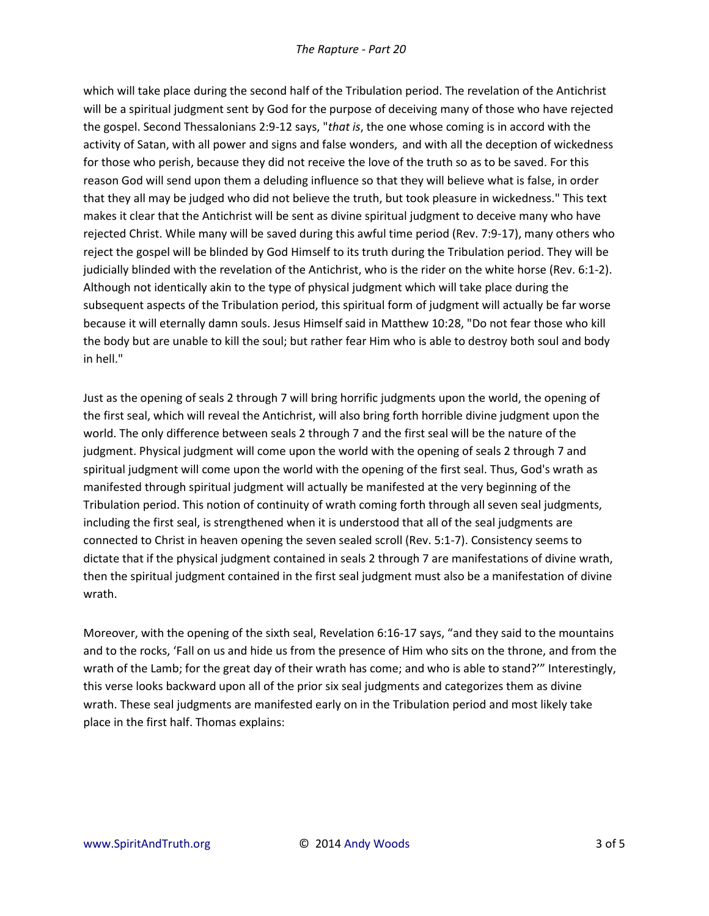which will take place during the second half of the Tribulation period. The revelation of the Antichrist will be a spiritual judgment sent by God for the purpose of deceiving many of those who have rejected the gospel. Second Thessalonians 2:9-12 says, "*that is*, the one whose coming is in accord with the activity of Satan, with all power and signs and false wonders, and with all the deception of wickedness for those who perish, because they did not receive the love of the truth so as to be saved. For this reason God will send upon them a deluding influence so that they will believe what is false, in order that they all may be judged who did not believe the truth, but took pleasure in wickedness." This text makes it clear that the Antichrist will be sent as divine spiritual judgment to deceive many who have rejected Christ. While many will be saved during this awful time period (Rev. 7:9-17), many others who reject the gospel will be blinded by God Himself to its truth during the Tribulation period. They will be judicially blinded with the revelation of the Antichrist, who is the rider on the white horse (Rev. 6:1-2). Although not identically akin to the type of physical judgment which will take place during the subsequent aspects of the Tribulation period, this spiritual form of judgment will actually be far worse because it will eternally damn souls. Jesus Himself said in Matthew 10:28, "Do not fear those who kill the body but are unable to kill the soul; but rather fear Him who is able to destroy both soul and body in hell."

Just as the opening of seals 2 through 7 will bring horrific judgments upon the world, the opening of the first seal, which will reveal the Antichrist, will also bring forth horrible divine judgment upon the world. The only difference between seals 2 through 7 and the first seal will be the nature of the judgment. Physical judgment will come upon the world with the opening of seals 2 through 7 and spiritual judgment will come upon the world with the opening of the first seal. Thus, God's wrath as manifested through spiritual judgment will actually be manifested at the very beginning of the Tribulation period. This notion of continuity of wrath coming forth through all seven seal judgments, including the first seal, is strengthened when it is understood that all of the seal judgments are connected to Christ in heaven opening the seven sealed scroll (Rev. 5:1-7). Consistency seems to dictate that if the physical judgment contained in seals 2 through 7 are manifestations of divine wrath, then the spiritual judgment contained in the first seal judgment must also be a manifestation of divine wrath.

Moreover, with the opening of the sixth seal, Revelation 6:16-17 says, "and they said to the mountains and to the rocks, 'Fall on us and hide us from the presence of Him who sits on the throne, and from the wrath of the Lamb; for the great day of their wrath has come; and who is able to stand?" Interestingly, this verse looks backward upon all of the prior six seal judgments and categorizes them as divine wrath. These seal judgments are manifested early on in the Tribulation period and most likely take place in the first half. Thomas explains: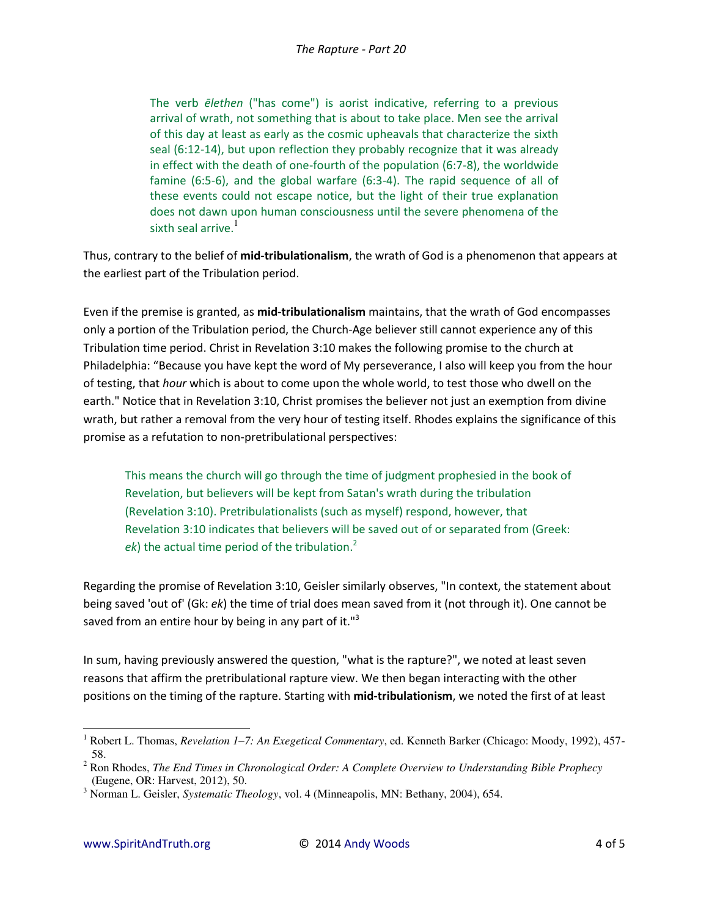The verb *ēlethen* ("has come") is aorist indicative, referring to a previous arrival of wrath, not something that is about to take place. Men see the arrival of this day at least as early as the cosmic upheavals that characterize the sixth seal (6:12-14), but upon reflection they probably recognize that it was already in effect with the death of one-fourth of the population (6:7-8), the worldwide famine (6:5-6), and the global warfare (6:3-4). The rapid sequence of all of these events could not escape notice, but the light of their true explanation does not dawn upon human consciousness until the severe phenomena of the sixth seal arrive.<sup>1</sup>

Thus, contrary to the belief of **mid-tribulationalism**, the wrath of God is a phenomenon that appears at the earliest part of the Tribulation period.

Even if the premise is granted, as **mid-tribulationalism** maintains, that the wrath of God encompasses only a portion of the Tribulation period, the Church-Age believer still cannot experience any of this Tribulation time period. Christ in Revelation 3:10 makes the following promise to the church at Philadelphia: "Because you have kept the word of My perseverance, I also will keep you from the hour of testing, that *hour* which is about to come upon the whole world, to test those who dwell on the earth." Notice that in Revelation 3:10, Christ promises the believer not just an exemption from divine wrath, but rather a removal from the very hour of testing itself. Rhodes explains the significance of this promise as a refutation to non-pretribulational perspectives:

This means the church will go through the time of judgment prophesied in the book of Revelation, but believers will be kept from Satan's wrath during the tribulation (Revelation 3:10). Pretribulationalists (such as myself) respond, however, that Revelation 3:10 indicates that believers will be saved out of or separated from (Greek:  $ek$ ) the actual time period of the tribulation.<sup>2</sup>

Regarding the promise of Revelation 3:10, Geisler similarly observes, "In context, the statement about being saved 'out of' (Gk: *ek*) the time of trial does mean saved from it (not through it). One cannot be saved from an entire hour by being in any part of it. $"$ <sup>3</sup>

In sum, having previously answered the question, "what is the rapture?", we noted at least seven reasons that affirm the pretribulational rapture view. We then began interacting with the other positions on the timing of the rapture. Starting with **mid-tribulationism**, we noted the first of at least

l

<sup>1</sup> Robert L. Thomas, *Revelation 1–7: An Exegetical Commentary*, ed. Kenneth Barker (Chicago: Moody, 1992), 457- 58. 2 Ron Rhodes, *The End Times in Chronological Order: A Complete Overview to Understanding Bible Prophecy*

<sup>(</sup>Eugene, OR: Harvest, 2012), 50.

<sup>3</sup> Norman L. Geisler, *Systematic Theology*, vol. 4 (Minneapolis, MN: Bethany, 2004), 654.